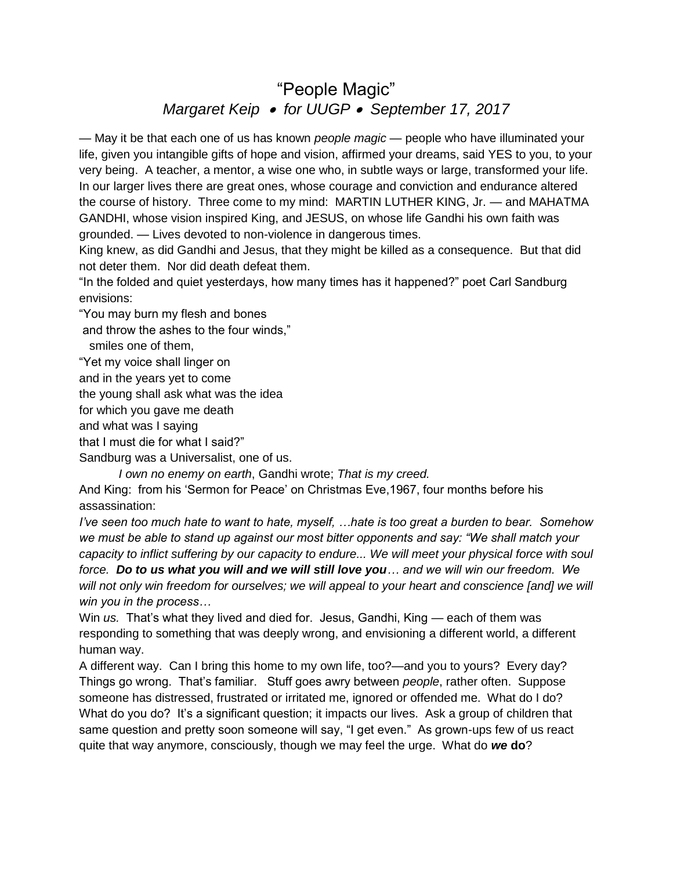## "People Magic" *Margaret Keip for UUGP September 17, 2017*

— May it be that each one of us has known *people magic* — people who have illuminated your life, given you intangible gifts of hope and vision, affirmed your dreams, said YES to you, to your very being. A teacher, a mentor, a wise one who, in subtle ways or large, transformed your life. In our larger lives there are great ones, whose courage and conviction and endurance altered the course of history. Three come to my mind: MARTIN LUTHER KING, Jr. — and MAHATMA GANDHI, whose vision inspired King, and JESUS, on whose life Gandhi his own faith was grounded. — Lives devoted to non-violence in dangerous times.

King knew, as did Gandhi and Jesus, that they might be killed as a consequence. But that did not deter them. Nor did death defeat them.

"In the folded and quiet yesterdays, how many times has it happened?" poet Carl Sandburg envisions:

"You may burn my flesh and bones

and throw the ashes to the four winds,"

smiles one of them,

"Yet my voice shall linger on

and in the years yet to come

the young shall ask what was the idea

for which you gave me death

and what was I saying

that I must die for what I said?"

Sandburg was a Universalist, one of us.

 *I own no enemy on earth*, Gandhi wrote; *That is my creed.*

And King: from his 'Sermon for Peace' on Christmas Eve,1967, four months before his assassination:

*I've seen too much hate to want to hate, myself, …hate is too great a burden to bear. Somehow we must be able to stand up against our most bitter opponents and say: "We shall match your capacity to inflict suffering by our capacity to endure... We will meet your physical force with soul force. Do to us what you will and we will still love you… and we will win our freedom. We*  will not only win freedom for ourselves; we will appeal to your heart and conscience [and] we will *win you in the process…* 

Win *us.* That's what they lived and died for. Jesus, Gandhi, King — each of them was responding to something that was deeply wrong, and envisioning a different world, a different human way.

A different way. Can I bring this home to my own life, too?—and you to yours? Every day? Things go wrong. That's familiar. Stuff goes awry between *people*, rather often. Suppose someone has distressed, frustrated or irritated me, ignored or offended me. What do I do? What do you do? It's a significant question; it impacts our lives. Ask a group of children that same question and pretty soon someone will say, "I get even." As grown-ups few of us react quite that way anymore, consciously, though we may feel the urge. What do *we* **do**?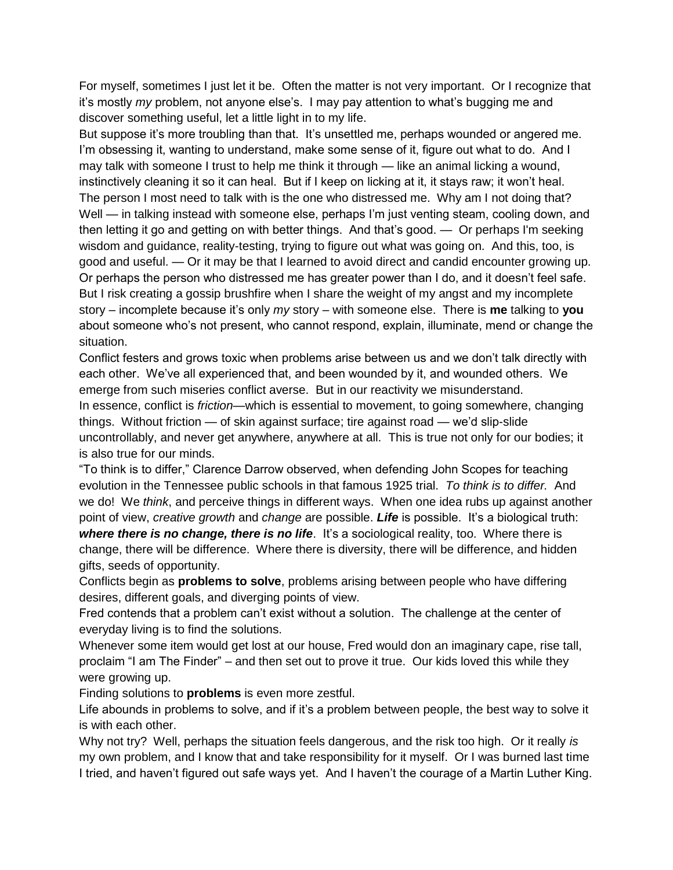For myself, sometimes I just let it be. Often the matter is not very important. Or I recognize that it's mostly *my* problem, not anyone else's. I may pay attention to what's bugging me and discover something useful, let a little light in to my life.

But suppose it's more troubling than that. It's unsettled me, perhaps wounded or angered me. I'm obsessing it, wanting to understand, make some sense of it, figure out what to do. And I may talk with someone I trust to help me think it through — like an animal licking a wound, instinctively cleaning it so it can heal. But if I keep on licking at it, it stays raw; it won't heal. The person I most need to talk with is the one who distressed me. Why am I not doing that? Well — in talking instead with someone else, perhaps I'm just venting steam, cooling down, and then letting it go and getting on with better things. And that's good. — Or perhaps I'm seeking wisdom and guidance, reality-testing, trying to figure out what was going on. And this, too, is good and useful. — Or it may be that I learned to avoid direct and candid encounter growing up. Or perhaps the person who distressed me has greater power than I do, and it doesn't feel safe. But I risk creating a gossip brushfire when I share the weight of my angst and my incomplete story – incomplete because it's only *my* story – with someone else. There is **me** talking to **you** about someone who's not present, who cannot respond, explain, illuminate, mend or change the situation.

Conflict festers and grows toxic when problems arise between us and we don't talk directly with each other. We've all experienced that, and been wounded by it, and wounded others. We emerge from such miseries conflict averse. But in our reactivity we misunderstand. In essence, conflict is *friction*—which is essential to movement, to going somewhere, changing things. Without friction — of skin against surface; tire against road — we'd slip-slide uncontrollably, and never get anywhere, anywhere at all. This is true not only for our bodies; it is also true for our minds.

"To think is to differ," Clarence Darrow observed, when defending John Scopes for teaching evolution in the Tennessee public schools in that famous 1925 trial. *To think is to differ.* And we do! We *think*, and perceive things in different ways. When one idea rubs up against another point of view, *creative growth* and *change* are possible. *Life* is possible. It's a biological truth: *where there is no change, there is no life.* It's a sociological reality, too. Where there is change, there will be difference. Where there is diversity, there will be difference, and hidden gifts, seeds of opportunity.

Conflicts begin as **problems to solve**, problems arising between people who have differing desires, different goals, and diverging points of view.

Fred contends that a problem can't exist without a solution. The challenge at the center of everyday living is to find the solutions.

Whenever some item would get lost at our house, Fred would don an imaginary cape, rise tall, proclaim "I am The Finder" – and then set out to prove it true. Our kids loved this while they were growing up.

Finding solutions to **problems** is even more zestful.

Life abounds in problems to solve, and if it's a problem between people, the best way to solve it is with each other.

Why not try? Well, perhaps the situation feels dangerous, and the risk too high. Or it really *is* my own problem, and I know that and take responsibility for it myself. Or I was burned last time I tried, and haven't figured out safe ways yet. And I haven't the courage of a Martin Luther King.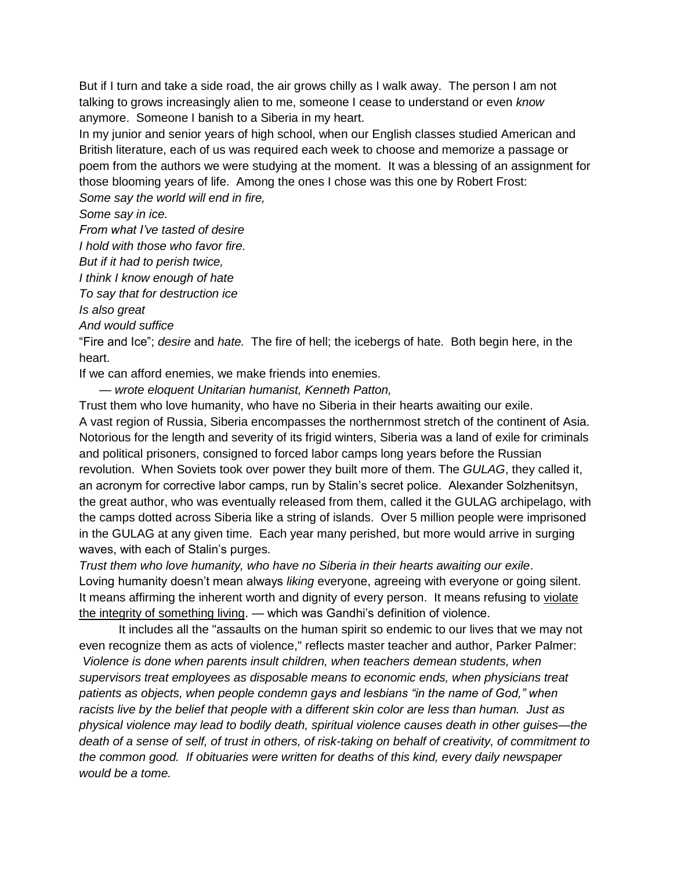But if I turn and take a side road, the air grows chilly as I walk away. The person I am not talking to grows increasingly alien to me, someone I cease to understand or even *know* anymore. Someone I banish to a Siberia in my heart.

In my junior and senior years of high school, when our English classes studied American and British literature, each of us was required each week to choose and memorize a passage or poem from the authors we were studying at the moment. It was a blessing of an assignment for those blooming years of life. Among the ones I chose was this one by Robert Frost: *Some say the world will end in fire,*

## *Some say in ice.*

*From what I've tasted of desire*

*I hold with those who favor fire.*

*But if it had to perish twice,*

*I think I know enough of hate*

*To say that for destruction ice*

*Is also great*

*And would suffice*

"Fire and Ice"; *desire* and *hate.* The fire of hell; the icebergs of hate. Both begin here, in the heart.

If we can afford enemies, we make friends into enemies.

— *wrote eloquent Unitarian humanist, Kenneth Patton,*

Trust them who love humanity, who have no Siberia in their hearts awaiting our exile. A vast region of Russia, Siberia encompasses the northernmost stretch of the continent of Asia. Notorious for the length and severity of its frigid winters, Siberia was a land of exile for criminals and political prisoners, consigned to forced labor camps long years before the Russian revolution. When Soviets took over power they built more of them. The *GULAG*, they called it, an acronym for corrective labor camps, run by Stalin's secret police. Alexander Solzhenitsyn, the great author, who was eventually released from them, called it the GULAG archipelago, with the camps dotted across Siberia like a string of islands. Over 5 million people were imprisoned in the GULAG at any given time. Each year many perished, but more would arrive in surging waves, with each of Stalin's purges.

*Trust them who love humanity, who have no Siberia in their hearts awaiting our exile*. Loving humanity doesn't mean always *liking* everyone, agreeing with everyone or going silent. It means affirming the inherent worth and dignity of every person. It means refusing to violate the integrity of something living. *—* which was Gandhi's definition of violence.

It includes all the "assaults on the human spirit so endemic to our lives that we may not even recognize them as acts of violence," reflects master teacher and author, Parker Palmer:

*Violence is done when parents insult children, when teachers demean students, when supervisors treat employees as disposable means to economic ends, when physicians treat patients as objects, when people condemn gays and lesbians "in the name of God," when racists live by the belief that people with a different skin color are less than human. Just as physical violence may lead to bodily death, spiritual violence causes death in other guises—the death of a sense of self, of trust in others, of risk-taking on behalf of creativity, of commitment to the common good. If obituaries were written for deaths of this kind, every daily newspaper would be a tome.*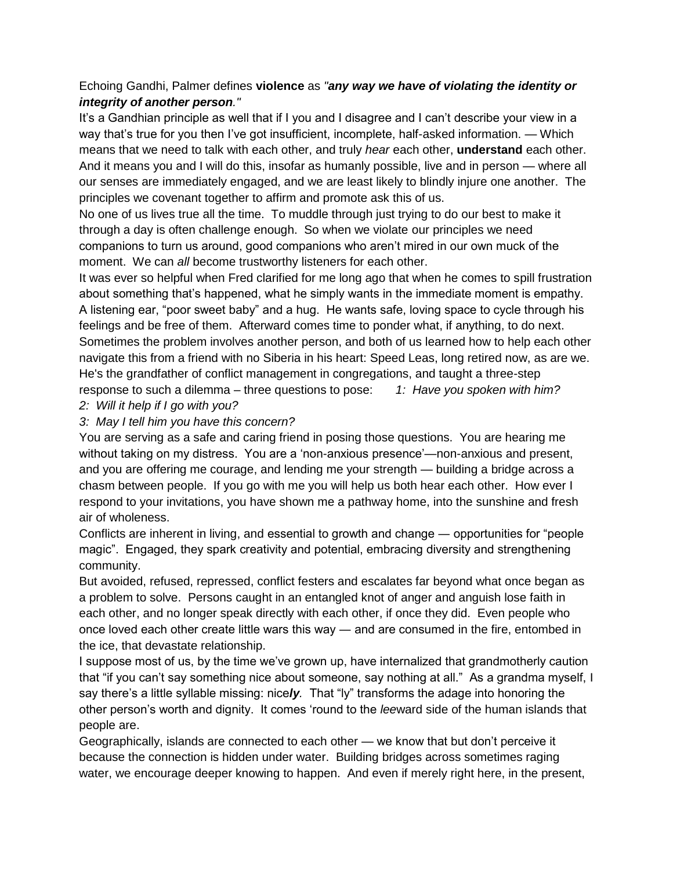## Echoing Gandhi, Palmer defines **violence** as *"any way we have of violating the identity or integrity of another person."*

It's a Gandhian principle as well that if I you and I disagree and I can't describe your view in a way that's true for you then I've got insufficient, incomplete, half-asked information. — Which means that we need to talk with each other, and truly *hear* each other, **understand** each other. And it means you and I will do this, insofar as humanly possible, live and in person — where all our senses are immediately engaged, and we are least likely to blindly injure one another. The principles we covenant together to affirm and promote ask this of us.

No one of us lives true all the time. To muddle through just trying to do our best to make it through a day is often challenge enough. So when we violate our principles we need companions to turn us around, good companions who aren't mired in our own muck of the moment. We can *all* become trustworthy listeners for each other.

It was ever so helpful when Fred clarified for me long ago that when he comes to spill frustration about something that's happened, what he simply wants in the immediate moment is empathy. A listening ear, "poor sweet baby" and a hug. He wants safe, loving space to cycle through his feelings and be free of them. Afterward comes time to ponder what, if anything, to do next. Sometimes the problem involves another person, and both of us learned how to help each other navigate this from a friend with no Siberia in his heart: Speed Leas, long retired now, as are we. He's the grandfather of conflict management in congregations, and taught a three-step response to such a dilemma – three questions to pose: *1: Have you spoken with him?* 

- *2: Will it help if I go with you?*
- *3: May I tell him you have this concern?*

You are serving as a safe and caring friend in posing those questions. You are hearing me without taking on my distress. You are a 'non-anxious presence'—non-anxious and present, and you are offering me courage, and lending me your strength — building a bridge across a chasm between people. If you go with me you will help us both hear each other. How ever I respond to your invitations, you have shown me a pathway home, into the sunshine and fresh air of wholeness.

Conflicts are inherent in living, and essential to growth and change ― opportunities for "people magic". Engaged, they spark creativity and potential, embracing diversity and strengthening community.

But avoided, refused, repressed, conflict festers and escalates far beyond what once began as a problem to solve. Persons caught in an entangled knot of anger and anguish lose faith in each other, and no longer speak directly with each other, if once they did. Even people who once loved each other create little wars this way ― and are consumed in the fire, entombed in the ice, that devastate relationship.

I suppose most of us, by the time we've grown up, have internalized that grandmotherly caution that "if you can't say something nice about someone, say nothing at all." As a grandma myself, I say there's a little syllable missing: nice*ly.* That "ly" transforms the adage into honoring the other person's worth and dignity. It comes 'round to the *lee*ward side of the human islands that people are.

Geographically, islands are connected to each other — we know that but don't perceive it because the connection is hidden under water. Building bridges across sometimes raging water, we encourage deeper knowing to happen. And even if merely right here, in the present,